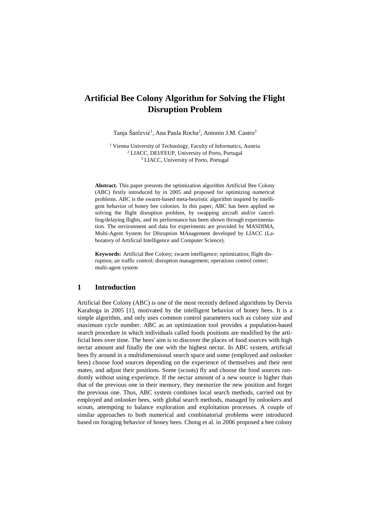# **Artificial Bee Colony Algorithm for Solving the Flight Disruption Problem**

Tanja Šarčević<sup>1</sup>, Ana Paula Rocha<sup>2</sup>, Antonio J.M. Castro<sup>3</sup>

<sup>1</sup> Vienna University of Technology, Faculty of Informatics, Austria <sup>2</sup> LIACC, DEI/FEUP, University of Porto, Portugal <sup>3</sup> LIACC, University of Porto, Portugal

**Abstract.** This paper presents the optimization algorithm Artificial Bee Colony (ABC) firstly introduced by in 2005 and proposed for optimizing numerical problems. ABC is the swarm-based meta-heuristic algorithm inspired by intelligent behavior of honey bee colonies. In this paper, ABC has been applied on solving the flight disruption problem, by swapping aircraft and/or cancelling/delaying flights, and its performance has been shown through experimentation. The environment and data for experiments are provided by MASDIMA, Multi-Agent System for DIsruption MAnagement developed by LIACC (Laboratory of Artificial Intelligence and Computer Science).

**Keywords:** Artificial Bee Colony; swarm intelligence; optimization; flight disruption; air traffic control; disruption management; operations control center; multi-agent system

# **1 Introduction**

Artificial Bee Colony (ABC) is one of the most recently defined algorithms by Dervis Karaboga in 2005 [1], motivated by the intelligent behavior of honey bees. It is a simple algorithm, and only uses common control parameters such as colony size and maximum cycle number. ABC as an optimization tool provides a population-based search procedure in which individuals called foods positions are modified by the artificial bees over time. The bees' aim is to discover the places of food sources with high nectar amount and finally the one with the highest nectar. In ABC system, artificial bees fly around in a multidimensional search space and some (employed and onlooker bees) choose food sources depending on the experience of themselves and their nest mates, and adjust their positions. Some (scouts) fly and choose the food sources randomly without using experience. If the nectar amount of a new source is higher than that of the previous one in their memory, they memorize the new position and forget the previous one. Thus, ABC system combines local search methods, carried out by employed and onlooker bees, with global search methods, managed by onlookers and scouts, attempting to balance exploration and exploitation processes. A couple of similar approaches to both numerical and combinatorial problems were introduced based on foraging behavior of honey bees. Chong et al. in 2006 proposed a bee colony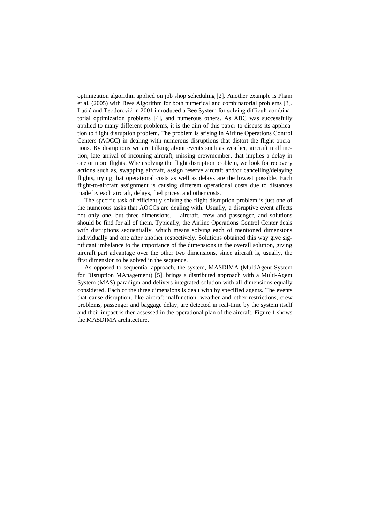optimization algorithm applied on job shop scheduling [2]. Another example is Pham et al. (2005) with Bees Algorithm for both numerical and combinatorial problems [3]. Lučić and Teodorović in 2001 introduced a Bee System for solving difficult combinatorial optimization problems [4], and numerous others. As ABC was successfully applied to many different problems, it is the aim of this paper to discuss its application to flight disruption problem. The problem is arising in Airline Operations Control Centers (AOCC) in dealing with numerous disruptions that distort the flight operations. By disruptions we are talking about events such as weather, aircraft malfunction, late arrival of incoming aircraft, missing crewmember, that implies a delay in one or more flights. When solving the flight disruption problem, we look for recovery actions such as, swapping aircraft, assign reserve aircraft and/or cancelling/delaying flights, trying that operational costs as well as delays are the lowest possible. Each flight-to-aircraft assignment is causing different operational costs due to distances made by each aircraft, delays, fuel prices, and other costs.

The specific task of efficiently solving the flight disruption problem is just one of the numerous tasks that AOCCs are dealing with. Usually, a disruptive event affects not only one, but three dimensions, – aircraft, crew and passenger, and solutions should be find for all of them. Typically, the Airline Operations Control Center deals with disruptions sequentially, which means solving each of mentioned dimensions individually and one after another respectively. Solutions obtained this way give significant imbalance to the importance of the dimensions in the overall solution, giving aircraft part advantage over the other two dimensions, since aircraft is, usually, the first dimension to be solved in the sequence.

As opposed to sequential approach, the system, MASDIMA (MultiAgent System for DIsruption MAnagement) [5], brings a distributed approach with a Multi-Agent System (MAS) paradigm and delivers integrated solution with all dimensions equally considered. Each of the three dimensions is dealt with by specified agents. The events that cause disruption, like aircraft malfunction, weather and other restrictions, crew problems, passenger and baggage delay, are detected in real-time by the system itself and their impact is then assessed in the operational plan of the aircraft. Figure 1 shows the MASDIMA architecture.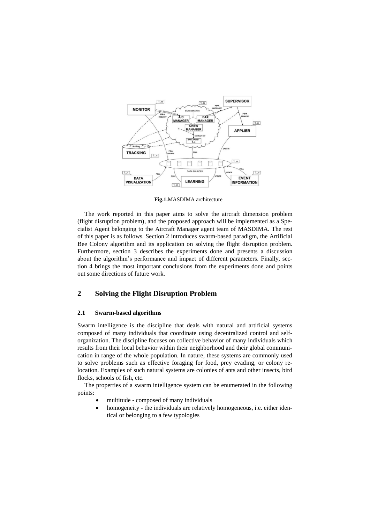

**Fig.1.**MASDIMA architecture

The work reported in this paper aims to solve the aircraft dimension problem (flight disruption problem), and the proposed approach will be implemented as a Specialist Agent belonging to the Aircraft Manager agent team of MASDIMA. The rest of this paper is as follows. Section 2 introduces swarm-based paradigm, the Artificial Bee Colony algorithm and its application on solving the flight disruption problem. Furthermore, section 3 describes the experiments done and presents a discussion about the algorithm's performance and impact of different parameters. Finally, section 4 brings the most important conclusions from the experiments done and points out some directions of future work.

# **2 Solving the Flight Disruption Problem**

#### **2.1 Swarm-based algorithms**

Swarm intelligence is the discipline that deals with natural and artificial systems composed of many individuals that coordinate using decentralized control and selforganization. The discipline focuses on collective behavior of many individuals which results from their local behavior within their neighborhood and their global communication in range of the whole population. In nature, these systems are commonly used to solve problems such as effective foraging for food, prey evading, or colony relocation. Examples of such natural systems are colonies of ants and other insects, bird flocks, schools of fish, etc.

The properties of a swarm intelligence system can be enumerated in the following points:

- multitude composed of many individuals
- homogeneity the individuals are relatively homogeneous, i.e. either identical or belonging to a few typologies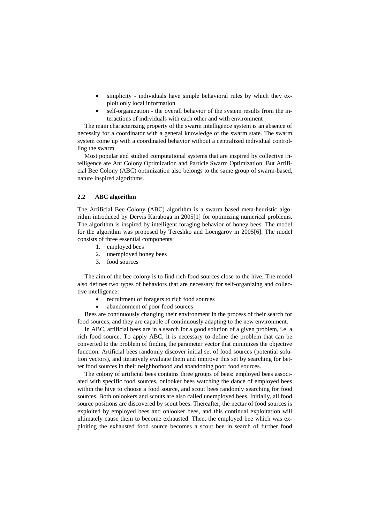- simplicity individuals have simple behavioral rules by which they exploit only local information
- self-organization the overall behavior of the system results from the interactions of individuals with each other and with environment

The main characterizing property of the swarm intelligence system is an absence of necessity for a coordinator with a general knowledge of the swarm state. The swarm system come up with a coordinated behavior without a centralized individual controlling the swarm.

Most popular and studied computational systems that are inspired by collective intelligence are Ant Colony Optimization and Particle Swarm Optimization. But Artificial Bee Colony (ABC) optimization also belongs to the same group of swarm-based, nature inspired algorithms.

### **2.2 ABC algorithm**

The Artificial Bee Colony (ABC) algorithm is a swarm based meta-heuristic algorithm introduced by Dervis Karaboga in 2005[1] for optimizing numerical problems. The algorithm is inspired by intelligent foraging behavior of honey bees. The model for the algorithm was proposed by Tereshko and Loengarov in 2005[6]. The model consists of three essential components:

- 1. employed bees
- 2. unemployed honey bees
- 3. food sources

The aim of the bee colony is to find rich food sources close to the hive. The model also defines two types of behaviors that are necessary for self-organizing and collective intelligence:

- recruitment of foragers to rich food sources
- abandonment of poor food sources

Bees are continuously changing their environment in the process of their search for food sources, and they are capable of continuously adapting to the new environment.

In ABC, artificial bees are in a search for a good solution of a given problem, i.e. a rich food source. To apply ABC, it is necessary to define the problem that can be converted to the problem of finding the parameter vector that minimizes the objective function. Artificial bees randomly discover initial set of food sources (potential solution vectors), and iteratively evaluate them and improve this set by searching for better food sources in their neighborhood and abandoning poor food sources.

The colony of artificial bees contains three groups of bees: employed bees associated with specific food sources, onlooker bees watching the dance of employed bees within the hive to choose a food source, and scout bees randomly searching for food sources. Both onlookers and scouts are also called unemployed bees. Initially, all food source positions are discovered by scout bees. Thereafter, the nectar of food sources is exploited by employed bees and onlooker bees, and this continual exploitation will ultimately cause them to become exhausted. Then, the employed bee which was exploiting the exhausted food source becomes a scout bee in search of further food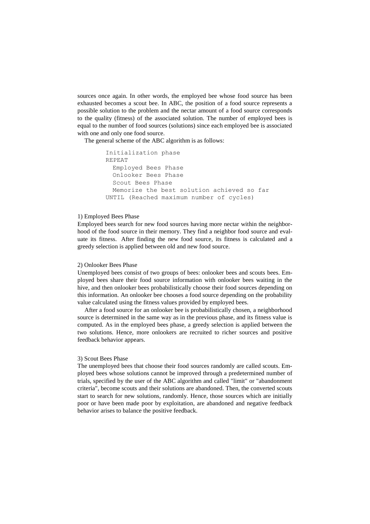sources once again. In other words, the employed bee whose food source has been exhausted becomes a scout bee. In ABC, the position of a food source represents a possible solution to the problem and the nectar amount of a food source corresponds to the quality (fitness) of the associated solution. The number of employed bees is equal to the number of food sources (solutions) since each employed bee is associated with one and only one food source.

The general scheme of the ABC algorithm is as follows:

```
Initialization phase 
REPEAT 
  Employed Bees Phase 
  Onlooker Bees Phase 
  Scout Bees Phase 
 Memorize the best solution achieved so far
UNTIL (Reached maximum number of cycles)
```
#### 1) Employed Bees Phase

Employed bees search for new food sources having more nectar within the neighborhood of the food source in their memory. They find a neighbor food source and evaluate its fitness. After finding the new food source, its fitness is calculated and a greedy selection is applied between old and new food source.

#### 2) Onlooker Bees Phase

Unemployed bees consist of two groups of bees: onlooker bees and scouts bees. Employed bees share their food source information with onlooker bees waiting in the hive, and then onlooker bees probabilistically choose their food sources depending on this information. An onlooker bee chooses a food source depending on the probability value calculated using the fitness values provided by employed bees.

After a food source for an onlooker bee is probabilistically chosen, a neighborhood source is determined in the same way as in the previous phase, and its fitness value is computed. As in the employed bees phase, a greedy selection is applied between the two solutions. Hence, more onlookers are recruited to richer sources and positive feedback behavior appears.

### 3) Scout Bees Phase

The unemployed bees that choose their food sources randomly are called scouts. Employed bees whose solutions cannot be improved through a predetermined number of trials, specified by the user of the ABC algorithm and called "limit" or "abandonment criteria", become scouts and their solutions are abandoned. Then, the converted scouts start to search for new solutions, randomly. Hence, those sources which are initially poor or have been made poor by exploitation, are abandoned and negative feedback behavior arises to balance the positive feedback.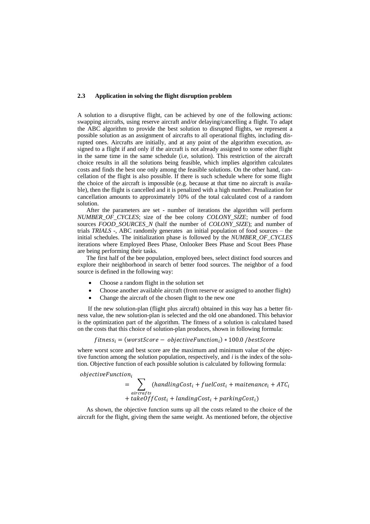#### **2.3 Application in solving the flight disruption problem**

A solution to a disruptive flight, can be achieved by one of the following actions: swapping aircrafts, using reserve aircraft and/or delaying/cancelling a flight. To adapt the ABC algorithm to provide the best solution to disrupted flights, we represent a possible solution as an assignment of aircrafts to all operational flights, including disrupted ones. Aircrafts are initially, and at any point of the algorithm execution, assigned to a flight if and only if the aircraft is not already assigned to some other flight in the same time in the same schedule (i.e, solution). This restriction of the aircraft choice results in all the solutions being feasible, which implies algorithm calculates costs and finds the best one only among the feasible solutions. On the other hand, cancellation of the flight is also possible. If there is such schedule where for some flight the choice of the aircraft is impossible (e.g. because at that time no aircraft is available), then the flight is cancelled and it is penalized with a high number. Penalization for cancellation amounts to approximately 10% of the total calculated cost of a random solution.

After the parameters are set - number of iterations the algorithm will perform *NUMBER\_OF\_CYCLES*; size of the bee colony *COLONY\_SIZE*; number of food sources *FOOD\_SOURCES\_N* (half the number of *COLONY\_SIZE*); and number of trials *TRIALS -*, ABC randomly generates an initial population of food sources – the initial schedules. The initialization phase is followed by the *NUMBER\_OF\_CYCLES* iterations where Employed Bees Phase, Onlooker Bees Phase and Scout Bees Phase are being performing their tasks.

The first half of the bee population, employed bees, select distinct food sources and explore their neighborhood in search of better food sources. The neighbor of a food source is defined in the following way:

- Choose a random flight in the solution set
- Choose another available aircraft (from reserve or assigned to another flight)
- Change the aircraft of the chosen flight to the new one

If the new solution-plan (flight plus aircraft) obtained in this way has a better fitness value, the new solution-plan is selected and the old one abandoned. This behavior is the optimization part of the algorithm. The fitness of a solution is calculated based on the costs that this choice of solution-plan produces, shown in following formula:

 $fitness_i = (worstScore - objectiveFunction_i) * 100.0 / bestScore$ 

where worst score and best score are the maximum and minimum value of the objective function among the solution population, respectively, and *i* is the index of the solution. Objective function of each possible solution is calculated by following formula:

 $objectiveFunction_i$ 

$$
= \sum_{\substack{aircrafts \\ \text{+} takeOffCost_i + landingCost_i + parkingCost_i}} (handlingCost_i + parkingCost_i)
$$

As shown, the objective function sums up all the costs related to the choice of the aircraft for the flight, giving them the same weight. As mentioned before, the objective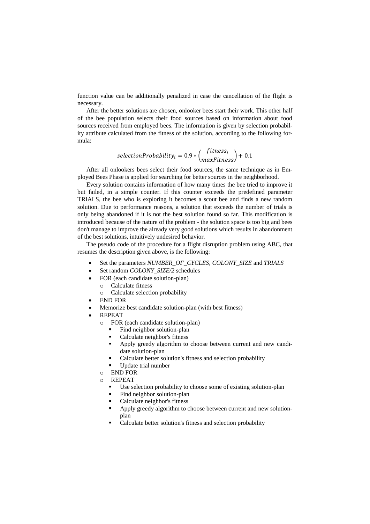function value can be additionally penalized in case the cancellation of the flight is necessary.

After the better solutions are chosen, onlooker bees start their work. This other half of the bee population selects their food sources based on information about food sources received from employed bees. The information is given by selection probability attribute calculated from the fitness of the solution, according to the following formula:

$$
selectionProbability_i = 0.9 * \left(\frac{fitness_i}{maxFitness}\right) + 0.1
$$

After all onlookers bees select their food sources, the same technique as in Employed Bees Phase is applied for searching for better sources in the neighborhood.

Every solution contains information of how many times the bee tried to improve it but failed, in a simple counter. If this counter exceeds the predefined parameter TRIALS, the bee who is exploring it becomes a scout bee and finds a new random solution. Due to performance reasons, a solution that exceeds the number of trials is only being abandoned if it is not the best solution found so far. This modification is introduced because of the nature of the problem - the solution space is too big and bees don't manage to improve the already very good solutions which results in abandonment of the best solutions, intuitively undesired behavior.

The pseudo code of the procedure for a flight disruption problem using ABC, that resumes the description given above, is the following:

- Set the parameters *NUMBER\_OF\_CYCLES*, *COLONY\_SIZE* and *TRIALS*
- Set random *COLONY* SIZE/2 schedules
- FOR (each candidate solution-plan)
	- o Calculate fitness
		- o Calculate selection probability
- END FOR
- Memorize best candidate solution-plan (with best fitness)
- REPEAT
	- o FOR (each candidate solution-plan)
		- Find neighbor solution-plan
		- Calculate neighbor's fitness
		- Apply greedy algorithm to choose between current and new candidate solution-plan
		- Calculate better solution's fitness and selection probability
		- Update trial number
	- o END FOR
	- o REPEAT
		- Use selection probability to choose some of existing solution-plan
		- Find neighbor solution-plan
		- Calculate neighbor's fitness
		- Apply greedy algorithm to choose between current and new solutionplan
		- Calculate better solution's fitness and selection probability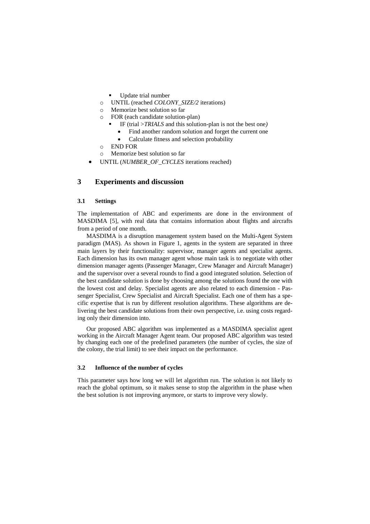- Update trial number
- o UNTIL (reached *COLONY\_SIZE/2* iterations)
- o Memorize best solution so far
- o FOR (each candidate solution-plan)
	- IF (trial >*TRIALS* and this solution-plan is not the best one*)* 
		- Find another random solution and forget the current one
		- Calculate fitness and selection probability
- o END FOR
- o Memorize best solution so far
- UNTIL *(NUMBER OF CYCLES iterations reached)*

# **3 Experiments and discussion**

### **3.1 Settings**

The implementation of ABC and experiments are done in the environment of MASDIMA [5], with real data that contains information about flights and aircrafts from a period of one month.

MASDIMA is a disruption management system based on the Multi-Agent System paradigm (MAS). As shown in Figure 1, agents in the system are separated in three main layers by their functionality: supervisor, manager agents and specialist agents. Each dimension has its own manager agent whose main task is to negotiate with other dimension manager agents (Passenger Manager, Crew Manager and Aircraft Manager) and the supervisor over a several rounds to find a good integrated solution. Selection of the best candidate solution is done by choosing among the solutions found the one with the lowest cost and delay. Specialist agents are also related to each dimension - Passenger Specialist, Crew Specialist and Aircraft Specialist. Each one of them has a specific expertise that is run by different resolution algorithms. These algorithms are delivering the best candidate solutions from their own perspective, i.e. using costs regarding only their dimension into.

Our proposed ABC algorithm was implemented as a MASDIMA specialist agent working in the Aircraft Manager Agent team. Our proposed ABC algorithm was tested by changing each one of the predefined parameters (the number of cycles, the size of the colony, the trial limit) to see their impact on the performance.

#### **3.2 Influence of the number of cycles**

This parameter says how long we will let algorithm run. The solution is not likely to reach the global optimum, so it makes sense to stop the algorithm in the phase when the best solution is not improving anymore, or starts to improve very slowly.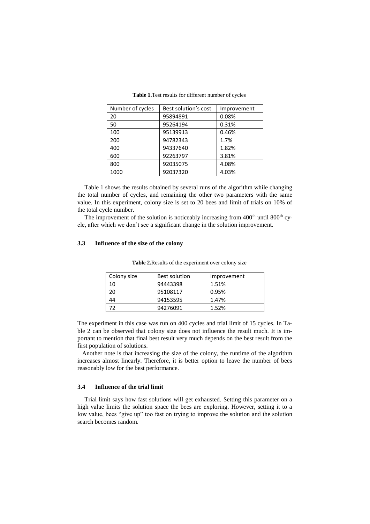| Number of cycles | Best solution's cost | Improvement |
|------------------|----------------------|-------------|
| 20               | 95894891             | 0.08%       |
| 50               | 95264194             | 0.31%       |
| 100              | 95139913             | 0.46%       |
| 200              | 94782343             | 1.7%        |
| 400              | 94337640             | 1.82%       |
| 600              | 92263797             | 3.81%       |
| 800              | 92035075             | 4.08%       |
| 1000             | 92037320             | 4.03%       |

**Table 1.**Test results for different number of cycles

Table 1 shows the results obtained by several runs of the algorithm while changing the total number of cycles, and remaining the other two parameters with the same value. In this experiment, colony size is set to 20 bees and limit of trials on 10% of the total cycle number.

The improvement of the solution is noticeably increasing from  $400<sup>th</sup>$  until  $800<sup>th</sup>$  cycle, after which we don't see a significant change in the solution improvement.

### **3.3 Influence of the size of the colony**

| Colony size | <b>Best solution</b> | Improvement |
|-------------|----------------------|-------------|
| 10          | 94443398             | 1.51%       |
| 20          | 95108117             | 0.95%       |
| 44          | 94153595             | 1.47%       |
|             | 94276091             | 1.52%       |

**Table 2.**Results of the experiment over colony size

The experiment in this case was run on 400 cycles and trial limit of 15 cycles. In Table 2 can be observed that colony size does not influence the result much. It is important to mention that final best result very much depends on the best result from the first population of solutions.

 Another note is that increasing the size of the colony, the runtime of the algorithm increases almost linearly. Therefore, it is better option to leave the number of bees reasonably low for the best performance.

### **3.4 Influence of the trial limit**

Trial limit says how fast solutions will get exhausted. Setting this parameter on a high value limits the solution space the bees are exploring. However, setting it to a low value, bees "give up" too fast on trying to improve the solution and the solution search becomes random.